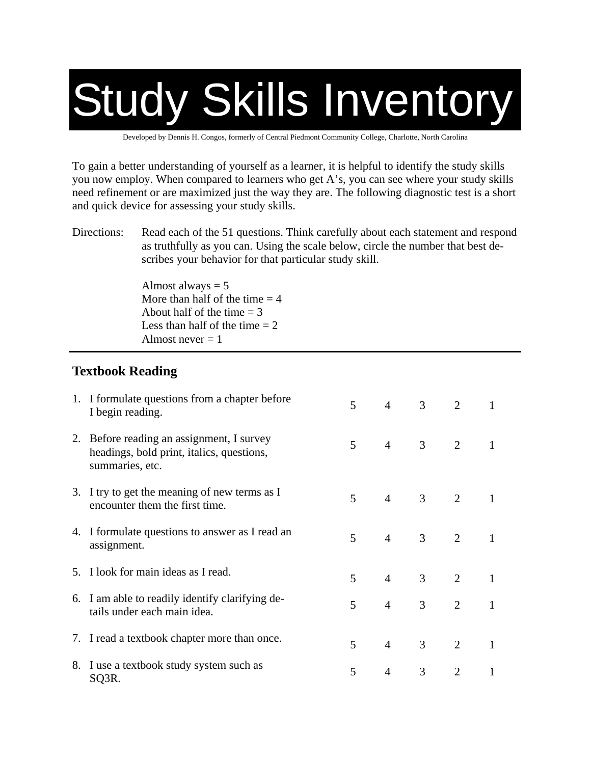# Study Skills Inventory

Developed by Dennis H. Congos, formerly of Central Piedmont Community College, Charlotte, North Carolina

To gain a better understanding of yourself as a learner, it is helpful to identify the study skills you now employ. When compared to learners who get A's, you can see where your study skills need refinement or are maximized just the way they are. The following diagnostic test is a short and quick device for assessing your study skills.

Directions: Read each of the 51 questions. Think carefully about each statement and respond as truthfully as you can. Using the scale below, circle the number that best describes your behavior for that particular study skill.

> Almost always  $= 5$ More than half of the time  $= 4$ About half of the time  $= 3$ Less than half of the time  $= 2$ Almost never  $= 1$

#### **Textbook Reading**

| 1. I formulate questions from a chapter before<br>I begin reading.                                        | 5 | $4\overline{ }$ | 3 <sup>7</sup> | $\overline{2}$ | 1            |
|-----------------------------------------------------------------------------------------------------------|---|-----------------|----------------|----------------|--------------|
| 2. Before reading an assignment, I survey<br>headings, bold print, italics, questions,<br>summaries, etc. | 5 | $4\overline{ }$ | $3 \t 2$       |                | 1            |
| 3. I try to get the meaning of new terms as I<br>encounter them the first time.                           | 5 | $4 \quad$       | 3 <sup>7</sup> | 2              | 1            |
| 4. I formulate questions to answer as I read an<br>assignment.                                            | 5 | 4 <sup>1</sup>  | 3 <sup>7</sup> | $\overline{2}$ | $\mathbf{1}$ |
| 5. I look for main ideas as I read.                                                                       | 5 | $4 \quad$       | 3 <sup>1</sup> | $\overline{2}$ | $\mathbf{1}$ |
| 6. I am able to readily identify clarifying de-<br>tails under each main idea.                            | 5 | $\overline{4}$  | 3 <sup>1</sup> | $\overline{2}$ | $\mathbf{1}$ |
| 7. I read a textbook chapter more than once.                                                              | 5 | $4 -$           | 3 <sup>7</sup> | 2              | $\mathbf{1}$ |
| 8. I use a textbook study system such as<br>SQ3R.                                                         | 5 | $\overline{4}$  | 3              | $\overline{2}$ | 1            |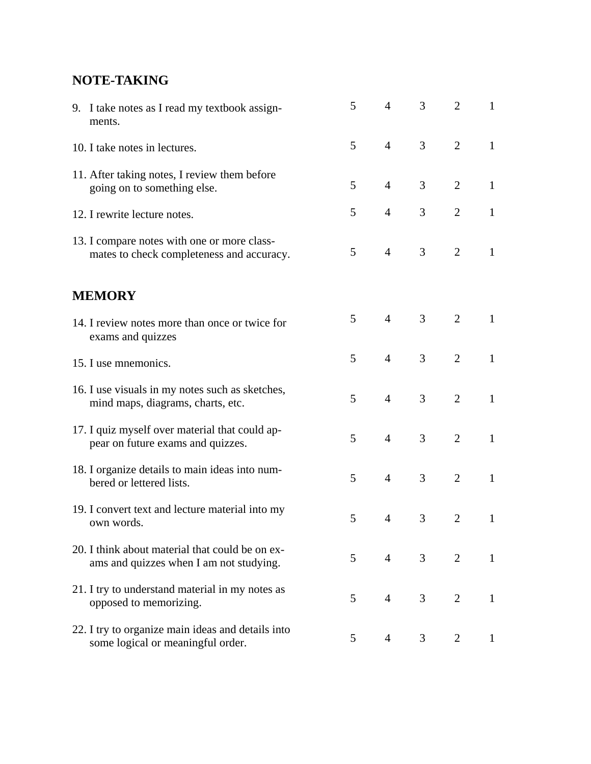### **NOTE-TAKING**

| 9. I take notes as I read my textbook assign-<br>ments.                                    | 5              | $\overline{4}$ | 3              | $\overline{2}$ | 1            |
|--------------------------------------------------------------------------------------------|----------------|----------------|----------------|----------------|--------------|
| 10. I take notes in lectures.                                                              | 5              | $\overline{4}$ | 3              | $\overline{2}$ | $\mathbf{1}$ |
| 11. After taking notes, I review them before<br>going on to something else.                | 5              | $\overline{4}$ | 3              | $\overline{2}$ | $\mathbf{1}$ |
| 12. I rewrite lecture notes.                                                               | 5              | $\overline{4}$ | 3              | $\overline{2}$ | $\mathbf{1}$ |
| 13. I compare notes with one or more class-<br>mates to check completeness and accuracy.   | 5              | $\overline{4}$ | 3              | 2              | $\mathbf{1}$ |
| <b>MEMORY</b>                                                                              |                |                |                |                |              |
| 14. I review notes more than once or twice for<br>exams and quizzes                        | $5^{\circ}$    | $\overline{4}$ | 3              | $\overline{2}$ | $\mathbf{1}$ |
| 15. I use mnemonics.                                                                       | 5              | $\overline{4}$ | 3              | $\overline{2}$ | $\mathbf{1}$ |
| 16. I use visuals in my notes such as sketches,<br>mind maps, diagrams, charts, etc.       | 5              | $\overline{4}$ | 3              | $\overline{2}$ | $\mathbf{1}$ |
| 17. I quiz myself over material that could ap-<br>pear on future exams and quizzes.        | 5              | $\overline{4}$ | 3              | $\overline{2}$ | $\mathbf{1}$ |
| 18. I organize details to main ideas into num-<br>bered or lettered lists.                 | 5              | $\overline{4}$ | 3              | 2              | $\mathbf{1}$ |
| 19. I convert text and lecture material into my<br>own words.                              | 5              | $\overline{4}$ | 3              | $\overline{2}$ | $\mathbf{1}$ |
| 20. I think about material that could be on ex-<br>ams and quizzes when I am not studying. | 5 <sup>5</sup> | $\overline{4}$ | 3 <sup>7</sup> | $\overline{2}$ | $\mathbf{1}$ |
| 21. I try to understand material in my notes as<br>opposed to memorizing.                  | 5 <sup>1</sup> | $4 \quad$      | 3 <sup>7</sup> | 2              | $\mathbf{1}$ |
| 22. I try to organize main ideas and details into<br>some logical or meaningful order.     | 5              | $\overline{4}$ | 3              | 2              | $\mathbf{1}$ |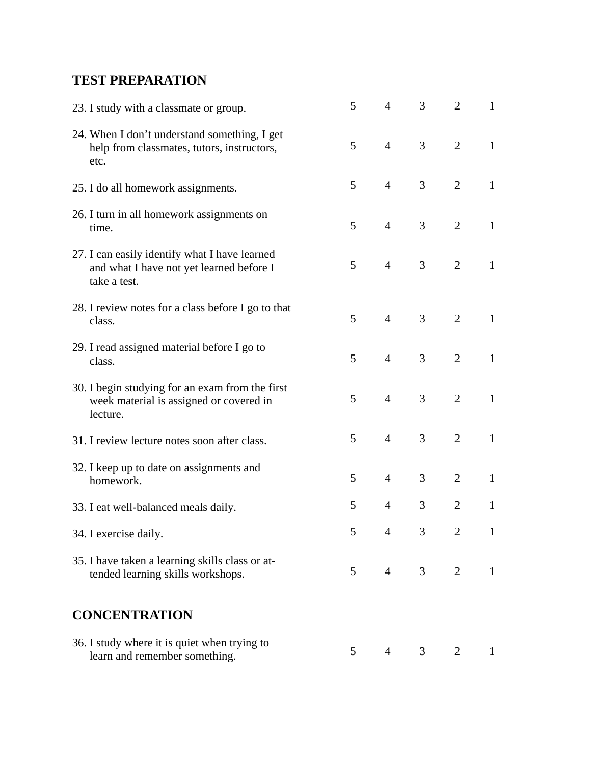#### **TEST PREPARATION**

| 23. I study with a classmate or group.                                                                    | 5               | $\overline{4}$  | 3              | $\overline{2}$ | 1            |
|-----------------------------------------------------------------------------------------------------------|-----------------|-----------------|----------------|----------------|--------------|
| 24. When I don't understand something, I get<br>help from classmates, tutors, instructors,<br>etc.        | 5               | $\overline{4}$  | 3              | $\overline{2}$ | $\mathbf{1}$ |
| 25. I do all homework assignments.                                                                        | $\mathfrak{S}$  | $\overline{4}$  | 3              | $\overline{2}$ | $\mathbf{1}$ |
| 26. I turn in all homework assignments on<br>time.                                                        | 5               | $\overline{4}$  | 3              | $\overline{2}$ | $\mathbf{1}$ |
| 27. I can easily identify what I have learned<br>and what I have not yet learned before I<br>take a test. | $5\overline{)}$ | $\overline{4}$  | 3              | 2              | $\mathbf{1}$ |
| 28. I review notes for a class before I go to that<br>class.                                              | 5               | $\overline{4}$  | 3              | $\overline{2}$ | $\mathbf{1}$ |
| 29. I read assigned material before I go to<br>class.                                                     | 5               | $\overline{4}$  | 3              | $\overline{2}$ | $\mathbf{1}$ |
| 30. I begin studying for an exam from the first<br>week material is assigned or covered in<br>lecture.    | 5               | $\overline{4}$  | 3              | $\overline{2}$ | $\mathbf{1}$ |
| 31. I review lecture notes soon after class.                                                              | 5               | $\overline{4}$  | 3              | $\overline{2}$ | $\mathbf{1}$ |
| 32. I keep up to date on assignments and<br>homework.                                                     | 5               | $\overline{4}$  | 3              | $\overline{2}$ | $\mathbf{1}$ |
| 33. I eat well-balanced meals daily.                                                                      | 5               | $\overline{4}$  | 3              | $\overline{2}$ | $\mathbf{1}$ |
| 34. I exercise daily.                                                                                     | 5               | $\overline{4}$  | 3              | 2              | $\mathbf{1}$ |
| 35. I have taken a learning skills class or at-<br>tended learning skills workshops.                      | 5 <sup>1</sup>  | $4\overline{ }$ | 3 <sup>7</sup> | $\overline{2}$ | $\mathbf{1}$ |
| <b>CONCENTRATION</b>                                                                                      |                 |                 |                |                |              |
| 36. I study where it is quiet when trying to<br>learn and remember something.                             | $5^{\circ}$     | $\overline{4}$  | 3 <sup>1</sup> | 2              | $\mathbf{1}$ |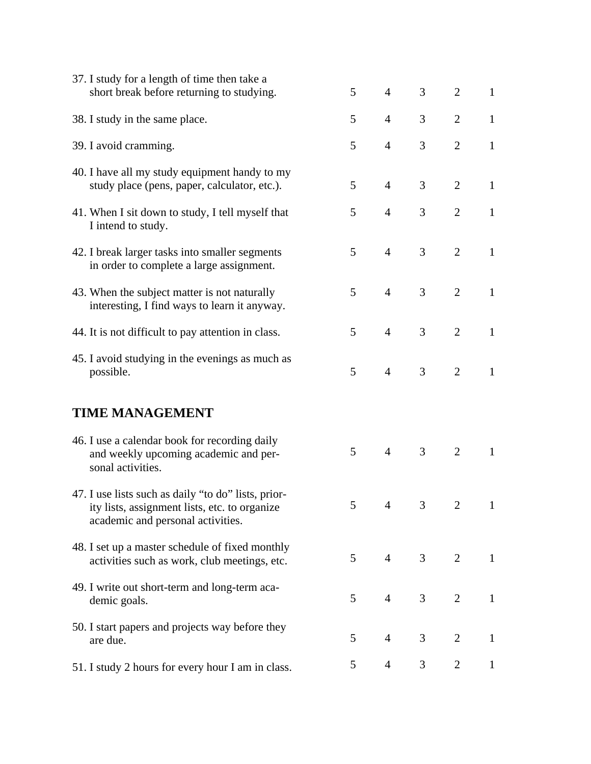| 37. I study for a length of time then take a<br>short break before returning to studying.                                                 | 5           | $\overline{4}$ | 3              | $\overline{2}$              | $\mathbf{1}$ |
|-------------------------------------------------------------------------------------------------------------------------------------------|-------------|----------------|----------------|-----------------------------|--------------|
| 38. I study in the same place.                                                                                                            | 5           | $\overline{4}$ | 3              | $\overline{2}$              | $\mathbf{1}$ |
|                                                                                                                                           |             |                |                |                             |              |
| 39. I avoid cramming.                                                                                                                     | 5           | $\overline{4}$ | 3              | $\overline{2}$              | $\mathbf{1}$ |
| 40. I have all my study equipment handy to my<br>study place (pens, paper, calculator, etc.).                                             | 5           | $\overline{4}$ | 3              | $\overline{2}$              | $\mathbf{1}$ |
| 41. When I sit down to study, I tell myself that<br>I intend to study.                                                                    | 5           | $\overline{4}$ | 3              | $\overline{2}$              | $\mathbf{1}$ |
| 42. I break larger tasks into smaller segments<br>in order to complete a large assignment.                                                | 5           | $\overline{4}$ | 3              | $\overline{2}$              | $\mathbf{1}$ |
| 43. When the subject matter is not naturally<br>interesting, I find ways to learn it anyway.                                              | 5           | $\overline{4}$ | 3              | $\overline{2}$              | $\mathbf{1}$ |
| 44. It is not difficult to pay attention in class.                                                                                        | 5           | $\overline{4}$ | 3              | $\overline{2}$              | $\mathbf{1}$ |
| 45. I avoid studying in the evenings as much as<br>possible.                                                                              | 5           | $\overline{4}$ | 3              | 2                           | $\mathbf{1}$ |
| <b>TIME MANAGEMENT</b>                                                                                                                    |             |                |                |                             |              |
| 46. I use a calendar book for recording daily<br>and weekly upcoming academic and per-<br>sonal activities.                               | 5           | $\overline{4}$ | 3              | 2                           | $\mathbf{1}$ |
| 47. I use lists such as daily "to do" lists, prior-<br>ity lists, assignment lists, etc. to organize<br>academic and personal activities. | $5^{\circ}$ | $\overline{4}$ | 3              | $\mathcal{D}_{\mathcal{L}}$ |              |
| 48. I set up a master schedule of fixed monthly<br>activities such as work, club meetings, etc.                                           | $5^{\circ}$ | $\overline{4}$ | $\mathfrak{Z}$ | 2                           | $\mathbf{1}$ |
| 49. I write out short-term and long-term aca-<br>demic goals.                                                                             | 5           | $\overline{4}$ | 3              | 2                           | $\mathbf{1}$ |
| 50. I start papers and projects way before they<br>are due.                                                                               | 5           | $\overline{4}$ | 3              | $\overline{2}$              | $\mathbf{1}$ |
| 51. I study 2 hours for every hour I am in class.                                                                                         | 5           | $\overline{4}$ | 3              | $\overline{2}$              | $\mathbf{1}$ |